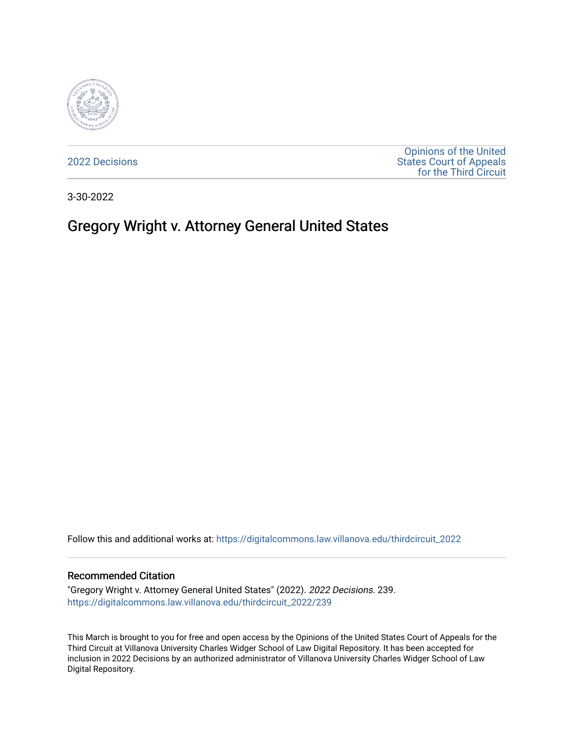

[2022 Decisions](https://digitalcommons.law.villanova.edu/thirdcircuit_2022)

[Opinions of the United](https://digitalcommons.law.villanova.edu/thirdcircuit)  [States Court of Appeals](https://digitalcommons.law.villanova.edu/thirdcircuit)  [for the Third Circuit](https://digitalcommons.law.villanova.edu/thirdcircuit) 

3-30-2022

# Gregory Wright v. Attorney General United States

Follow this and additional works at: [https://digitalcommons.law.villanova.edu/thirdcircuit\\_2022](https://digitalcommons.law.villanova.edu/thirdcircuit_2022?utm_source=digitalcommons.law.villanova.edu%2Fthirdcircuit_2022%2F239&utm_medium=PDF&utm_campaign=PDFCoverPages) 

#### Recommended Citation

"Gregory Wright v. Attorney General United States" (2022). 2022 Decisions. 239. [https://digitalcommons.law.villanova.edu/thirdcircuit\\_2022/239](https://digitalcommons.law.villanova.edu/thirdcircuit_2022/239?utm_source=digitalcommons.law.villanova.edu%2Fthirdcircuit_2022%2F239&utm_medium=PDF&utm_campaign=PDFCoverPages)

This March is brought to you for free and open access by the Opinions of the United States Court of Appeals for the Third Circuit at Villanova University Charles Widger School of Law Digital Repository. It has been accepted for inclusion in 2022 Decisions by an authorized administrator of Villanova University Charles Widger School of Law Digital Repository.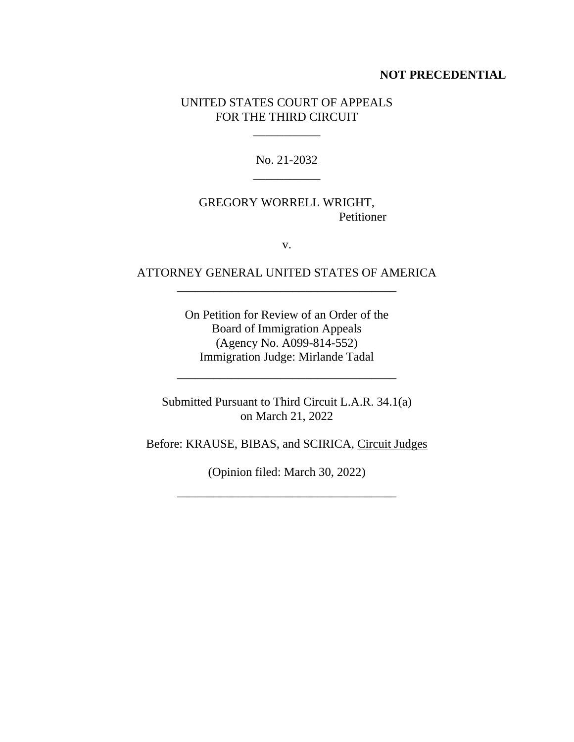#### **NOT PRECEDENTIAL**

#### UNITED STATES COURT OF APPEALS FOR THE THIRD CIRCUIT

 $\mathcal{L}=\mathcal{L}$ 

No. 21-2032 \_\_\_\_\_\_\_\_\_\_\_

## GREGORY WORRELL WRIGHT, Petitioner

v.

## ATTORNEY GENERAL UNITED STATES OF AMERICA \_\_\_\_\_\_\_\_\_\_\_\_\_\_\_\_\_\_\_\_\_\_\_\_\_\_\_\_\_\_\_\_\_\_\_\_

On Petition for Review of an Order of the Board of Immigration Appeals (Agency No. A099-814-552) Immigration Judge: Mirlande Tadal

Submitted Pursuant to Third Circuit L.A.R. 34.1(a) on March 21, 2022

\_\_\_\_\_\_\_\_\_\_\_\_\_\_\_\_\_\_\_\_\_\_\_\_\_\_\_\_\_\_\_\_\_\_\_\_

Before: KRAUSE, BIBAS, and SCIRICA, Circuit Judges

(Opinion filed: March 30, 2022)

\_\_\_\_\_\_\_\_\_\_\_\_\_\_\_\_\_\_\_\_\_\_\_\_\_\_\_\_\_\_\_\_\_\_\_\_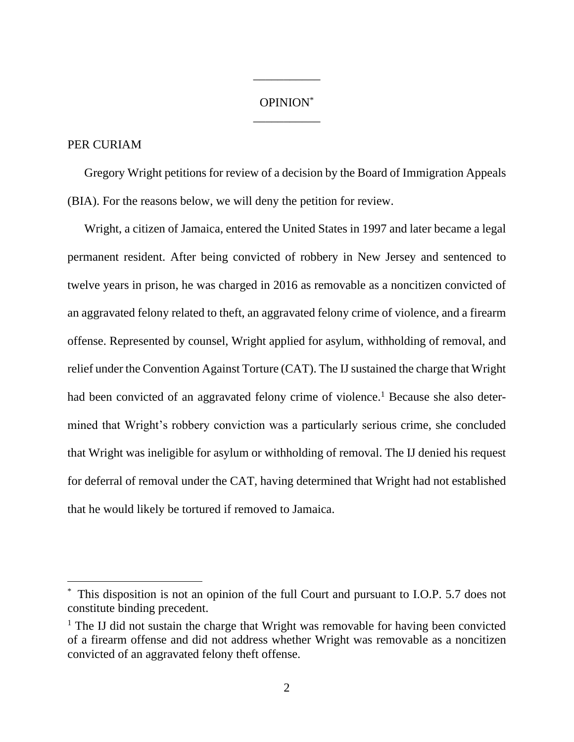## OPINION\* \_\_\_\_\_\_\_\_\_\_\_

\_\_\_\_\_\_\_\_\_\_\_

### PER CURIAM

Gregory Wright petitions for review of a decision by the Board of Immigration Appeals (BIA). For the reasons below, we will deny the petition for review.

Wright, a citizen of Jamaica, entered the United States in 1997 and later became a legal permanent resident. After being convicted of robbery in New Jersey and sentenced to twelve years in prison, he was charged in 2016 as removable as a noncitizen convicted of an aggravated felony related to theft, an aggravated felony crime of violence, and a firearm offense. Represented by counsel, Wright applied for asylum, withholding of removal, and relief under the Convention Against Torture (CAT). The IJ sustained the charge that Wright had been convicted of an aggravated felony crime of violence.<sup>1</sup> Because she also determined that Wright's robbery conviction was a particularly serious crime, she concluded that Wright was ineligible for asylum or withholding of removal. The IJ denied his request for deferral of removal under the CAT, having determined that Wright had not established that he would likely be tortured if removed to Jamaica.

<sup>\*</sup> This disposition is not an opinion of the full Court and pursuant to I.O.P. 5.7 does not constitute binding precedent.

 $<sup>1</sup>$  The IJ did not sustain the charge that Wright was removable for having been convicted</sup> of a firearm offense and did not address whether Wright was removable as a noncitizen convicted of an aggravated felony theft offense.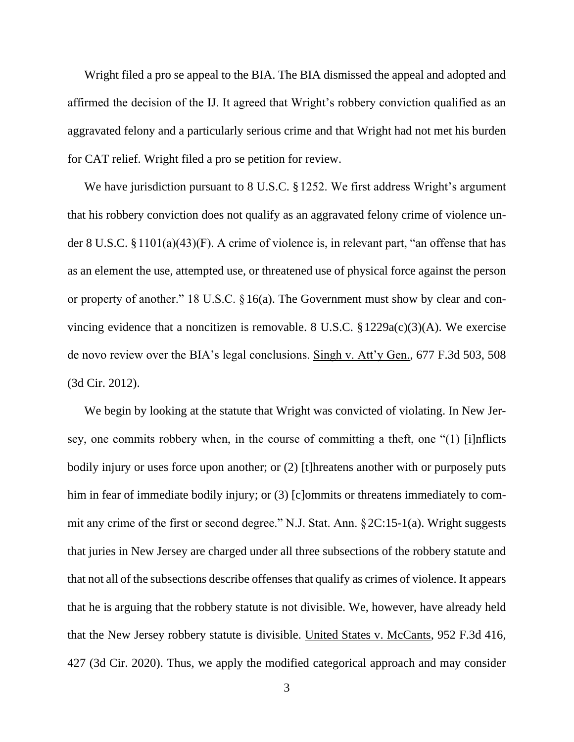Wright filed a pro se appeal to the BIA. The BIA dismissed the appeal and adopted and affirmed the decision of the IJ. It agreed that Wright's robbery conviction qualified as an aggravated felony and a particularly serious crime and that Wright had not met his burden for CAT relief. Wright filed a pro se petition for review.

We have jurisdiction pursuant to 8 U.S.C. §1252. We first address Wright's argument that his robbery conviction does not qualify as an aggravated felony crime of violence under 8 U.S.C. §1101(a)(43)(F). A crime of violence is, in relevant part, "an offense that has as an element the use, attempted use, or threatened use of physical force against the person or property of another." 18 U.S.C. §16(a). The Government must show by clear and convincing evidence that a noncitizen is removable. 8 U.S.C.  $\S 1229a(c)(3)(A)$ . We exercise de novo review over the BIA's legal conclusions. Singh v. Att'y Gen., 677 F.3d 503, 508 (3d Cir. 2012).

We begin by looking at the statute that Wright was convicted of violating. In New Jersey, one commits robbery when, in the course of committing a theft, one "(1) [i]nflicts bodily injury or uses force upon another; or (2) [t]hreatens another with or purposely puts him in fear of immediate bodily injury; or (3) [c]ommits or threatens immediately to commit any crime of the first or second degree." N.J. Stat. Ann. §2C:15-1(a). Wright suggests that juries in New Jersey are charged under all three subsections of the robbery statute and that not all of the subsections describe offenses that qualify as crimes of violence. It appears that he is arguing that the robbery statute is not divisible. We, however, have already held that the New Jersey robbery statute is divisible. United States v. McCants, 952 F.3d 416, 427 (3d Cir. 2020). Thus, we apply the modified categorical approach and may consider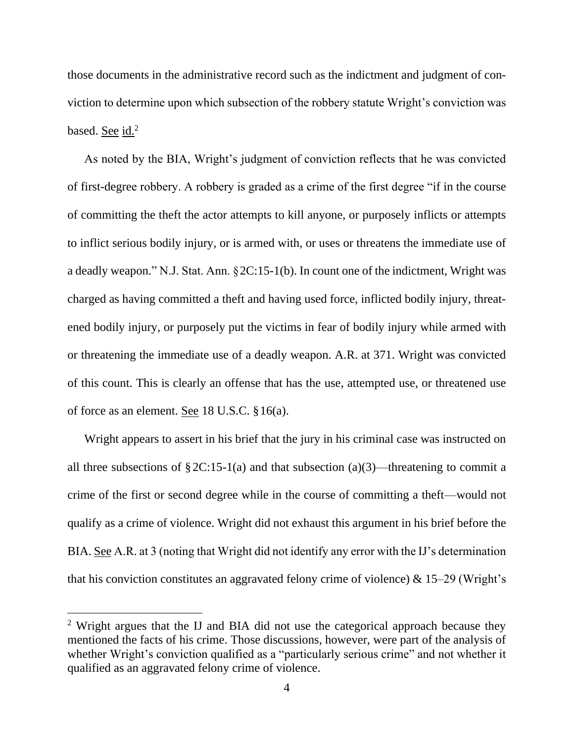those documents in the administrative record such as the indictment and judgment of conviction to determine upon which subsection of the robbery statute Wright's conviction was based. See id.<sup>2</sup>

As noted by the BIA, Wright's judgment of conviction reflects that he was convicted of first-degree robbery. A robbery is graded as a crime of the first degree "if in the course of committing the theft the actor attempts to kill anyone, or purposely inflicts or attempts to inflict serious bodily injury, or is armed with, or uses or threatens the immediate use of a deadly weapon." N.J. Stat. Ann. §2C:15-1(b). In count one of the indictment, Wright was charged as having committed a theft and having used force, inflicted bodily injury, threatened bodily injury, or purposely put the victims in fear of bodily injury while armed with or threatening the immediate use of a deadly weapon. A.R. at 371. Wright was convicted of this count. This is clearly an offense that has the use, attempted use, or threatened use of force as an element. See 18 U.S.C. §16(a).

Wright appears to assert in his brief that the jury in his criminal case was instructed on all three subsections of  $\S 2C:15-1(a)$  and that subsection (a)(3)—threatening to commit a crime of the first or second degree while in the course of committing a theft—would not qualify as a crime of violence. Wright did not exhaust this argument in his brief before the BIA. See A.R. at 3 (noting that Wright did not identify any error with the IJ's determination that his conviction constitutes an aggravated felony crime of violence)  $\&$  15–29 (Wright's

<sup>&</sup>lt;sup>2</sup> Wright argues that the IJ and BIA did not use the categorical approach because they mentioned the facts of his crime. Those discussions, however, were part of the analysis of whether Wright's conviction qualified as a "particularly serious crime" and not whether it qualified as an aggravated felony crime of violence.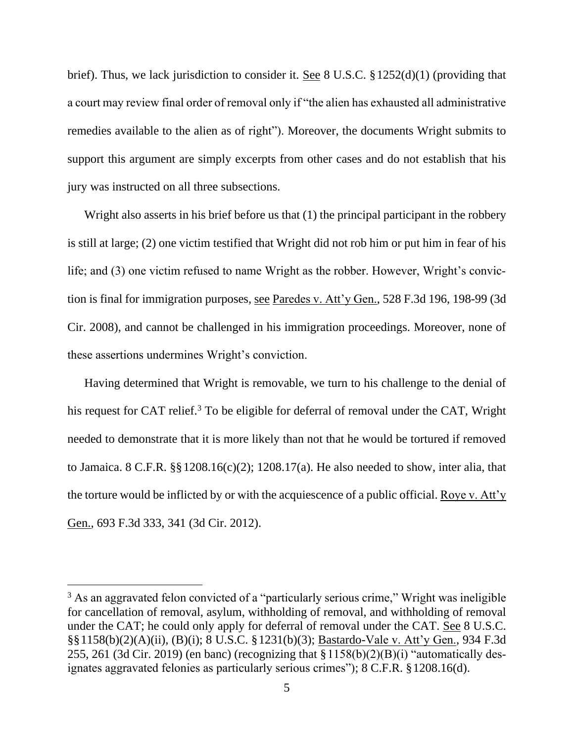brief). Thus, we lack jurisdiction to consider it. See 8 U.S.C. §1252(d)(1) (providing that a court may review final order of removal only if "the alien has exhausted all administrative remedies available to the alien as of right"). Moreover, the documents Wright submits to support this argument are simply excerpts from other cases and do not establish that his jury was instructed on all three subsections.

Wright also asserts in his brief before us that (1) the principal participant in the robbery is still at large; (2) one victim testified that Wright did not rob him or put him in fear of his life; and (3) one victim refused to name Wright as the robber. However, Wright's conviction is final for immigration purposes, see Paredes v. Att'y Gen., 528 F.3d 196, 198-99 (3d Cir. 2008), and cannot be challenged in his immigration proceedings. Moreover, none of these assertions undermines Wright's conviction.

Having determined that Wright is removable, we turn to his challenge to the denial of his request for CAT relief.<sup>3</sup> To be eligible for deferral of removal under the CAT, Wright needed to demonstrate that it is more likely than not that he would be tortured if removed to Jamaica. 8 C.F.R. §§1208.16(c)(2); 1208.17(a). He also needed to show, inter alia, that the torture would be inflicted by or with the acquiescence of a public official. Roye v. Att'y Gen., 693 F.3d 333, 341 (3d Cir. 2012).

<sup>&</sup>lt;sup>3</sup> As an aggravated felon convicted of a "particularly serious crime," Wright was ineligible for cancellation of removal, asylum, withholding of removal, and withholding of removal under the CAT; he could only apply for deferral of removal under the CAT. See 8 U.S.C. §§1158(b)(2)(A)(ii), (B)(i); 8 U.S.C. §1231(b)(3); Bastardo-Vale v. Att'y Gen., 934 F.3d 255, 261 (3d Cir. 2019) (en banc) (recognizing that  $\S 1158(b)(2)(B)(i)$  "automatically designates aggravated felonies as particularly serious crimes"); 8 C.F.R. §1208.16(d).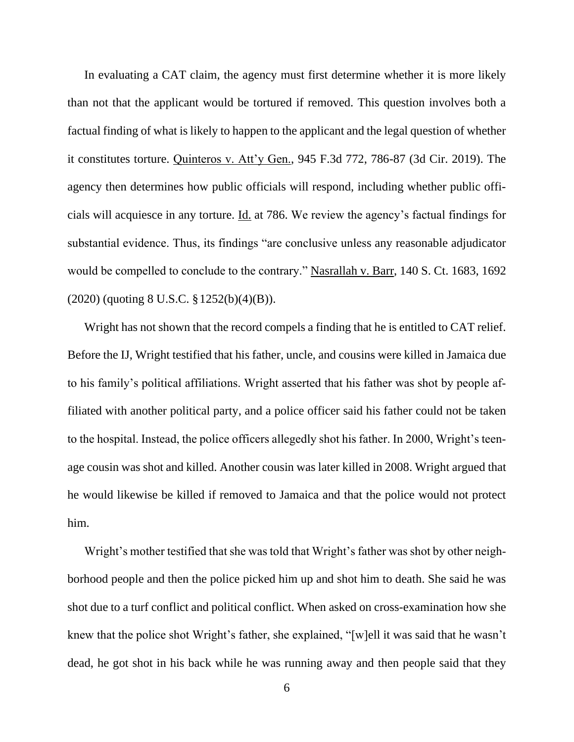In evaluating a CAT claim, the agency must first determine whether it is more likely than not that the applicant would be tortured if removed. This question involves both a factual finding of what is likely to happen to the applicant and the legal question of whether it constitutes torture. Quinteros v. Att'y Gen., 945 F.3d 772, 786-87 (3d Cir. 2019). The agency then determines how public officials will respond, including whether public officials will acquiesce in any torture. Id. at 786. We review the agency's factual findings for substantial evidence. Thus, its findings "are conclusive unless any reasonable adjudicator would be compelled to conclude to the contrary." Nasrallah v. Barr, 140 S. Ct. 1683, 1692 (2020) (quoting 8 U.S.C. §1252(b)(4)(B)).

Wright has not shown that the record compels a finding that he is entitled to CAT relief. Before the IJ, Wright testified that his father, uncle, and cousins were killed in Jamaica due to his family's political affiliations. Wright asserted that his father was shot by people affiliated with another political party, and a police officer said his father could not be taken to the hospital. Instead, the police officers allegedly shot his father. In 2000, Wright's teenage cousin was shot and killed. Another cousin was later killed in 2008. Wright argued that he would likewise be killed if removed to Jamaica and that the police would not protect him.

Wright's mother testified that she was told that Wright's father was shot by other neighborhood people and then the police picked him up and shot him to death. She said he was shot due to a turf conflict and political conflict. When asked on cross-examination how she knew that the police shot Wright's father, she explained, "[w]ell it was said that he wasn't dead, he got shot in his back while he was running away and then people said that they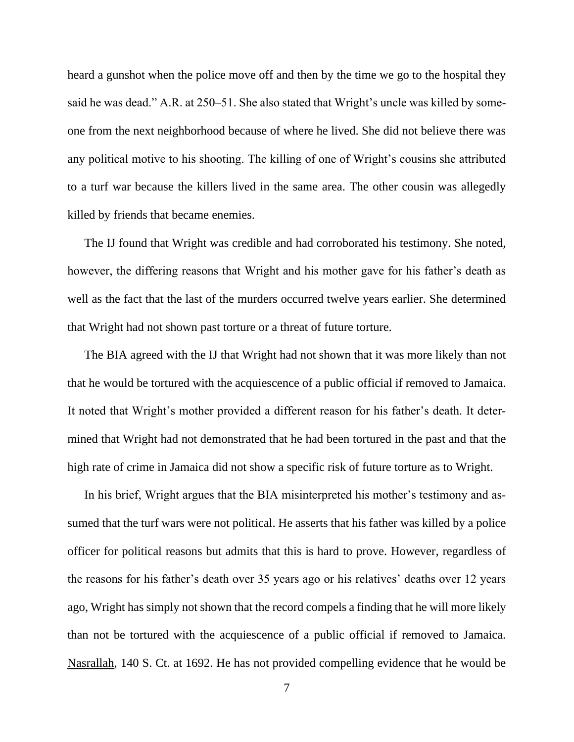heard a gunshot when the police move off and then by the time we go to the hospital they said he was dead." A.R. at 250–51. She also stated that Wright's uncle was killed by someone from the next neighborhood because of where he lived. She did not believe there was any political motive to his shooting. The killing of one of Wright's cousins she attributed to a turf war because the killers lived in the same area. The other cousin was allegedly killed by friends that became enemies.

The IJ found that Wright was credible and had corroborated his testimony. She noted, however, the differing reasons that Wright and his mother gave for his father's death as well as the fact that the last of the murders occurred twelve years earlier. She determined that Wright had not shown past torture or a threat of future torture.

The BIA agreed with the IJ that Wright had not shown that it was more likely than not that he would be tortured with the acquiescence of a public official if removed to Jamaica. It noted that Wright's mother provided a different reason for his father's death. It determined that Wright had not demonstrated that he had been tortured in the past and that the high rate of crime in Jamaica did not show a specific risk of future torture as to Wright.

In his brief, Wright argues that the BIA misinterpreted his mother's testimony and assumed that the turf wars were not political. He asserts that his father was killed by a police officer for political reasons but admits that this is hard to prove. However, regardless of the reasons for his father's death over 35 years ago or his relatives' deaths over 12 years ago, Wright has simply not shown that the record compels a finding that he will more likely than not be tortured with the acquiescence of a public official if removed to Jamaica. Nasrallah, 140 S. Ct. at 1692. He has not provided compelling evidence that he would be